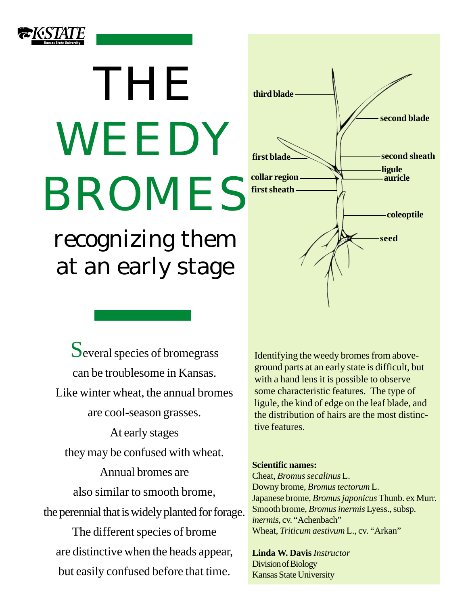

# THE WEEDY BROMES

recognizing them at an early stage

Several species of bromegrass can be troublesome in Kansas. Like winter wheat, the annual bromes are cool-season grasses. At early stages they may be confused with wheat. Annual bromes are also similar to smooth brome, the perennial that is widely planted for forage. The different species of brome are distinctive when the heads appear, but easily confused before that time.



**first blade Second sheath** 

**second blade**

**coleoptile**

**ligule auricle**

**seed**

#### **Scientific names:**

**third blade**

**collar region first sheath**

Cheat, *Bromus secalinus* L. Downy brome, *Bromus tectorum* L. Japanese brome, *Bromus japonicus* Thunb. ex Murr. Smooth brome, *Bromus inermis* Lyess., subsp. *inermis*, cv. "Achenbach" Wheat, *Triticum aestivum* L., cv. "Arkan"

**Linda W. Davis** *Instructor* Division of Biology Kansas State University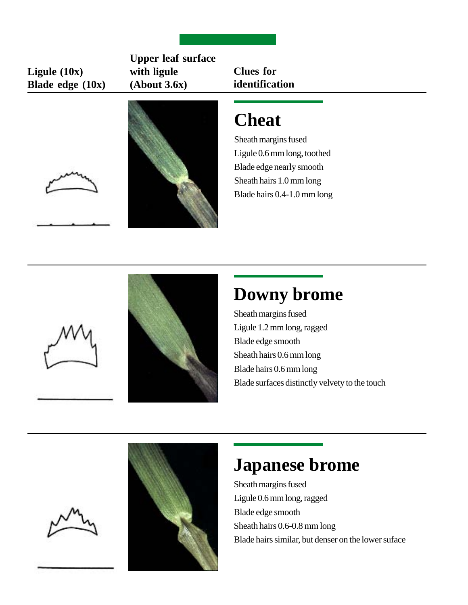#### **Ligule (10x) Blade edge (10x)**

**Upper leaf surface with ligule (About 3.6x)**

**Clues for identification**

# **Cheat**

Sheath margins fused Ligule 0.6 mm long, toothed Blade edge nearly smooth Sheath hairs 1.0 mm long Blade hairs 0.4-1.0 mm long



# **Downy brome**

Sheath margins fused Ligule 1.2 mm long, ragged Blade edge smooth Sheath hairs 0.6 mm long Blade hairs 0.6 mm long Blade surfaces distinctly velvety to the touch





# **Japanese brome**

Sheath margins fused Ligule 0.6 mm long, ragged Blade edge smooth Sheath hairs 0.6-0.8 mm long Blade hairs similar, but denser on the lower suface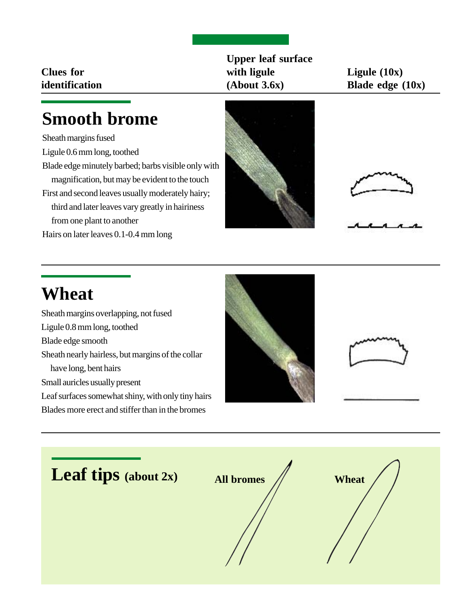**Clues for identification**

### **Upper leaf surface with ligule (About 3.6x)**

**Ligule (10x) Blade edge (10x)**

## **Smooth brome**

Sheath margins fused

- Ligule 0.6 mm long, toothed
- Blade edge minutely barbed; barbs visible only with magnification, but may be evident to the touch
- First and second leaves usually moderately hairy; third and later leaves vary greatly in hairiness from one plant to another

Hairs on later leaves 0.1-0.4 mm long





# **Wheat**

Sheath margins overlapping, not fused Ligule 0.8 mm long, toothed Blade edge smooth Sheath nearly hairless, but margins of the collar have long, bent hairs Small auricles usually present Leaf surfaces somewhat shiny, with only tiny hairs Blades more erect and stiffer than in the bromes